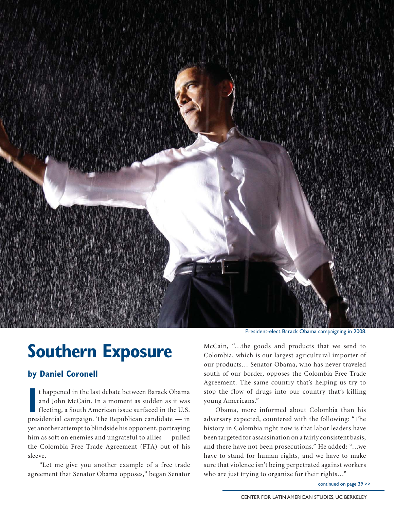

## **Southern Exposure**

## **by Daniel Coronell**

In the last debate between Barack Obama<br>
and John McCain. In a moment as sudden as it was<br>
fleeting, a South American issue surfaced in the U.S.<br>
presidential campaign. The Republican candidate — in t happened in the last debate between Barack Obama and John McCain. In a moment as sudden as it was fleeting, a South American issue surfaced in the U.S. yet another attempt to blindside his opponent, portraying him as soft on enemies and ungrateful to allies — pulled the Colombia Free Trade Agreement (FTA) out of his sleeve.

 "Let me give you another example of a free trade agreement that Senator Obama opposes," began Senator

President-elect Barack Obama campaigning in 2008.

McCain, "…the goods and products that we send to Colombia, which is our largest agricultural importer of our products… Senator Obama, who has never traveled south of our border, opposes the Colombia Free Trade Agreement. The same country that's helping us try to stop the flow of drugs into our country that's killing young Americans."

 Obama, more informed about Colombia than his adversary expected, countered with the following: "The history in Colombia right now is that labor leaders have been targeted for assassination on a fairly consistent basis, and there have not been prosecutions." He added: "…we have to stand for human rights, and we have to make sure that violence isn't being perpetrated against workers who are just trying to organize for their rights..."

continued on page 39 >>